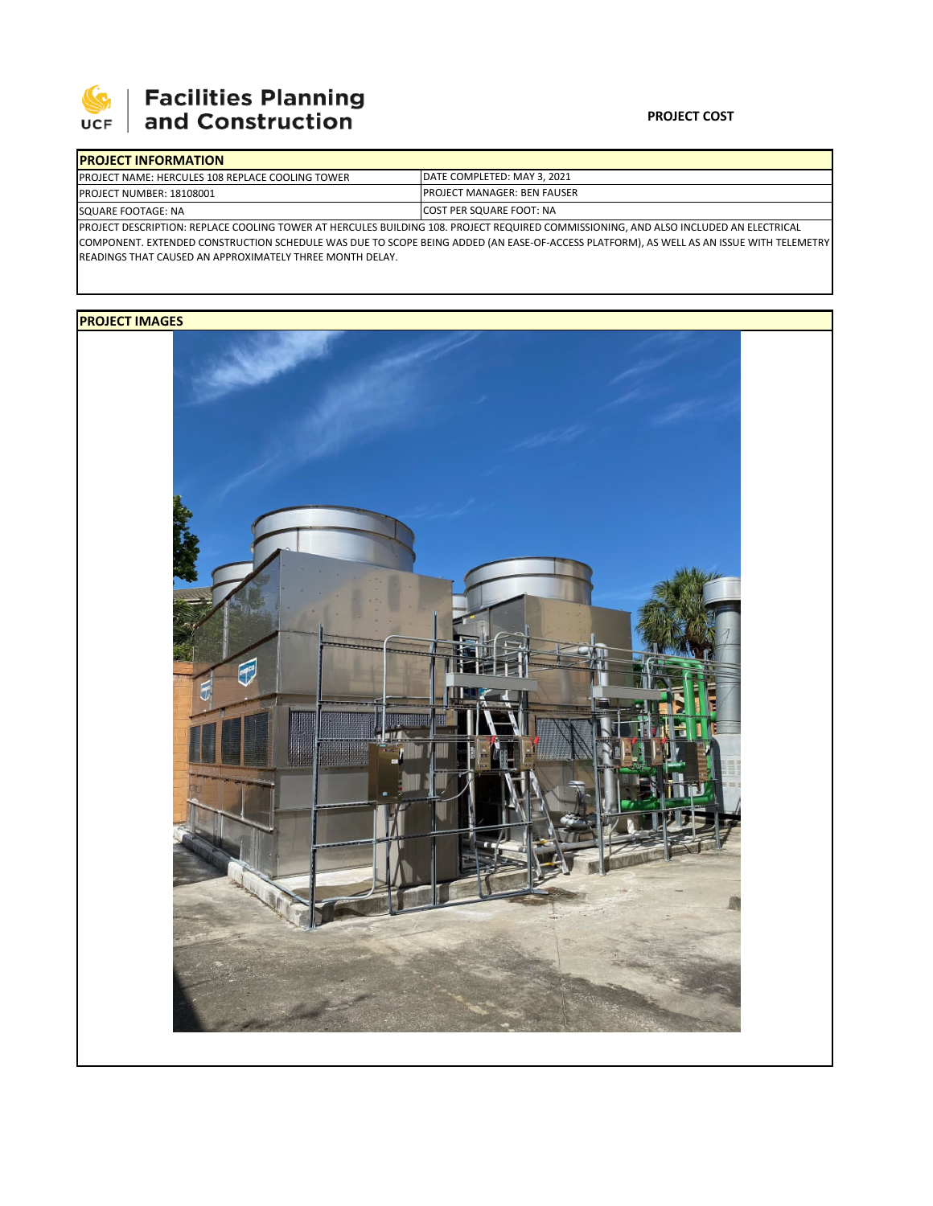

# | Facilities Planning<br>| and Construction

### **PROJECT COST**

| <b>IPROJECT INFORMATION</b>                                                                                                           |                                     |  |  |  |
|---------------------------------------------------------------------------------------------------------------------------------------|-------------------------------------|--|--|--|
| <b>IPROJECT NAME: HERCULES 108 REPLACE COOLING TOWER</b>                                                                              | DATE COMPLETED: MAY 3. 2021         |  |  |  |
| <b>PROJECT NUMBER: 18108001</b>                                                                                                       | <b>IPROJECT MANAGER: BEN FAUSER</b> |  |  |  |
| SQUARE FOOTAGE: NA                                                                                                                    | <b>ICOST PER SQUARE FOOT: NA</b>    |  |  |  |
| IPROJECT DESCRIPTION: REPLACE COOLING TOWER AT HERCULES BUILDING 108. PROJECT REQUIRED COMMISSIONING, AND ALSO INCLUDED AN ELECTRICAL |                                     |  |  |  |

COMPONENT. EXTENDED CONSTRUCTION SCHEDULE WAS DUE TO SCOPE BEING ADDED (AN EASE‐OF‐ACCESS PLATFORM), AS WELL AS AN ISSUE WITH TELEMETRY READINGS THAT CAUSED AN APPROXIMATELY THREE MONTH DELAY.

## **PROJECT IMAGES**